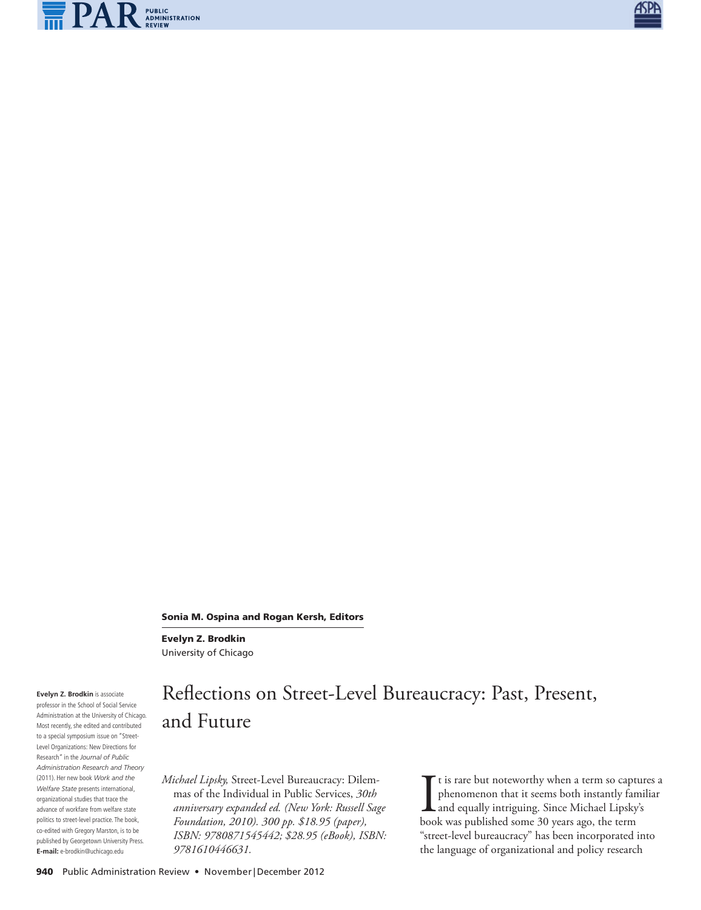



**Sonia M. Ospina and Rogan Kersh, Editors**

**Evelyn Z. Brodkin** University of Chicago

**Evelyn Z. Brodkin** is associate

professor in the School of Social Service Administration at the University of Chicago. Most recently, she edited and contributed to a special symposium issue on "Street-Level Organizations: New Directions for Research" in the *Journal of Public Administration Research and Theory*  (2011). Her new book *Work and the Welfare State* presents international, organizational studies that trace the advance of workfare from welfare state politics to street-level practice. The book, co-edited with Gregory Marston, is to be published by Georgetown University Press. **E-mail:** e-brodkin@uchicago.edu

# Reflections on Street-Level Bureaucracy: Past, Present, and Future

*Michael Lipsky,* Street-Level Bureaucracy: Dilemmas of the Individual in Public Services, *30th anniversary expanded ed. (New York: Russell Sage Foundation, 2010). 300 pp. \$18.95 (paper), ISBN: 9780871545442; \$28.95 (eBook), ISBN: 9781610446631.*

I If t is rare but noteworthy when a term so captures a phenomenon that it seems both instantly familiar and equally intriguing. Since Michael Lipsky's book was published some 30 years ago, the term "street-level bureaucracy" has been incorporated into the language of organizational and policy research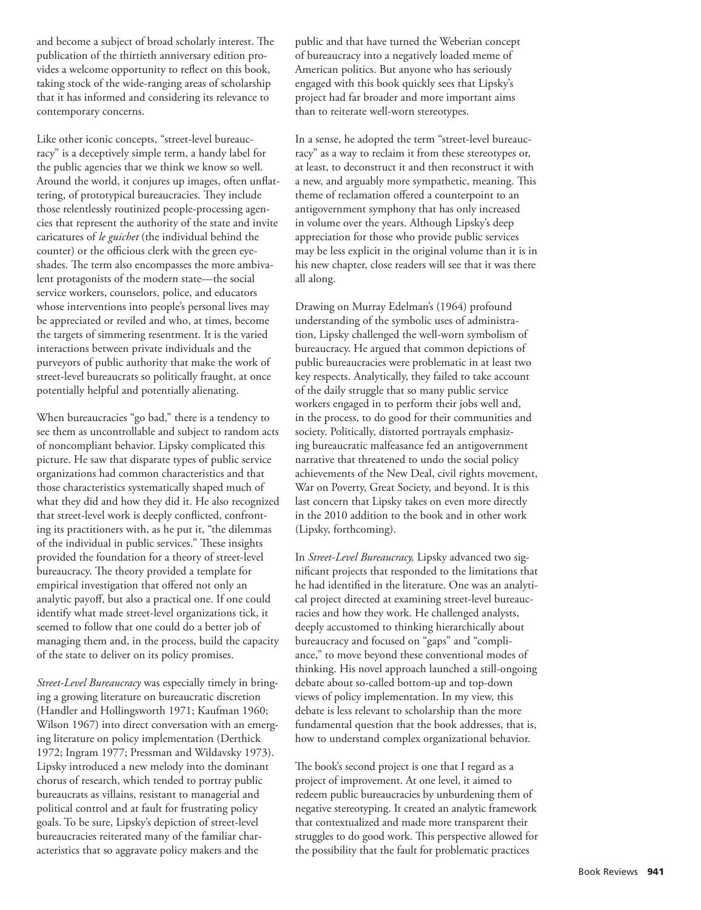and become a subject of broad scholarly interest. The publication of the thirtieth anniversary edition provides a welcome opportunity to reflect on this book, taking stock of the wide-ranging areas of scholarship that it has informed and considering its relevance to contemporary concerns.

Like other iconic concepts, "street-level bureaucracy" is a deceptively simple term, a handy label for the public agencies that we think we know so well. Around the world, it conjures up images, often unflattering, of prototypical bureaucracies. They include those relentlessly routinized people-processing agencies that represent the authority of the state and invite caricatures of *le guichet* (the individual behind the counter) or the officious clerk with the green eyeshades. The term also encompasses the more ambivalent protagonists of the modern state—the social service workers, counselors, police, and educators whose interventions into people's personal lives may be appreciated or reviled and who, at times, become the targets of simmering resentment. It is the varied interactions between private individuals and the purveyors of public authority that make the work of street-level bureaucrats so politically fraught, at once potentially helpful and potentially alienating.

When bureaucracies "go bad," there is a tendency to see them as uncontrollable and subject to random acts of noncompliant behavior. Lipsky complicated this picture. He saw that disparate types of public service organizations had common characteristics and that those characteristics systematically shaped much of what they did and how they did it. He also recognized that street-level work is deeply conflicted, confronting its practitioners with, as he put it, "the dilemmas of the individual in public services." These insights provided the foundation for a theory of street-level bureaucracy. The theory provided a template for empirical investigation that offered not only an analytic payoff, but also a practical one. If one could identify what made street-level organizations tick, it seemed to follow that one could do a better job of managing them and, in the process, build the capacity of the state to deliver on its policy promises.

*Street-Level Bureaucracy* was especially timely in bringing a growing literature on bureaucratic discretion (Handler and Hollingsworth 1971; Kaufman 1960; Wilson 1967) into direct conversation with an emerging literature on policy implementation (Derthick 1972; Ingram 1977; Pressman and Wildavsky 1973). Lipsky introduced a new melody into the dominant chorus of research, which tended to portray public bureaucrats as villains, resistant to managerial and political control and at fault for frustrating policy goals. To be sure, Lipsky's depiction of street-level bureaucracies reiterated many of the familiar characteristics that so aggravate policy makers and the

public and that have turned the Weberian concept of bureaucracy into a negatively loaded meme of American politics. But anyone who has seriously engaged with this book quickly sees that Lipsky's project had far broader and more important aims than to reiterate well-worn stereotypes.

In a sense, he adopted the term "street-level bureaucracy" as a way to reclaim it from these stereotypes or, at least, to deconstruct it and then reconstruct it with a new, and arguably more sympathetic, meaning. This theme of reclamation offered a counterpoint to an antigovernment symphony that has only increased in volume over the years. Although Lipsky's deep appreciation for those who provide public services may be less explicit in the original volume than it is in his new chapter, close readers will see that it was there all along.

Drawing on Murray Edelman's (1964) profound understanding of the symbolic uses of administration, Lipsky challenged the well-worn symbolism of bureaucracy. He argued that common depictions of public bureaucracies were problematic in at least two key respects. Analytically, they failed to take account of the daily struggle that so many public service workers engaged in to perform their jobs well and, in the process, to do good for their communities and society. Politically, distorted portrayals emphasizing bureaucratic malfeasance fed an antigovernment narrative that threatened to undo the social policy achievements of the New Deal, civil rights movement, War on Poverty, Great Society, and beyond. It is this last concern that Lipsky takes on even more directly in the 2010 addition to the book and in other work (Lipsky, forthcoming).

In *Street-Level Bureaucracy,* Lipsky advanced two significant projects that responded to the limitations that he had identified in the literature. One was an analytical project directed at examining street-level bureaucracies and how they work. He challenged analysts, deeply accustomed to thinking hierarchically about bureaucracy and focused on "gaps" and "compliance," to move beyond these conventional modes of thinking. His novel approach launched a still-ongoing debate about so-called bottom-up and top-down views of policy implementation. In my view, this debate is less relevant to scholarship than the more fundamental question that the book addresses, that is, how to understand complex organizational behavior.

The book's second project is one that I regard as a project of improvement. At one level, it aimed to redeem public bureaucracies by unburdening them of negative stereotyping. It created an analytic framework that contextualized and made more transparent their struggles to do good work. This perspective allowed for the possibility that the fault for problematic practices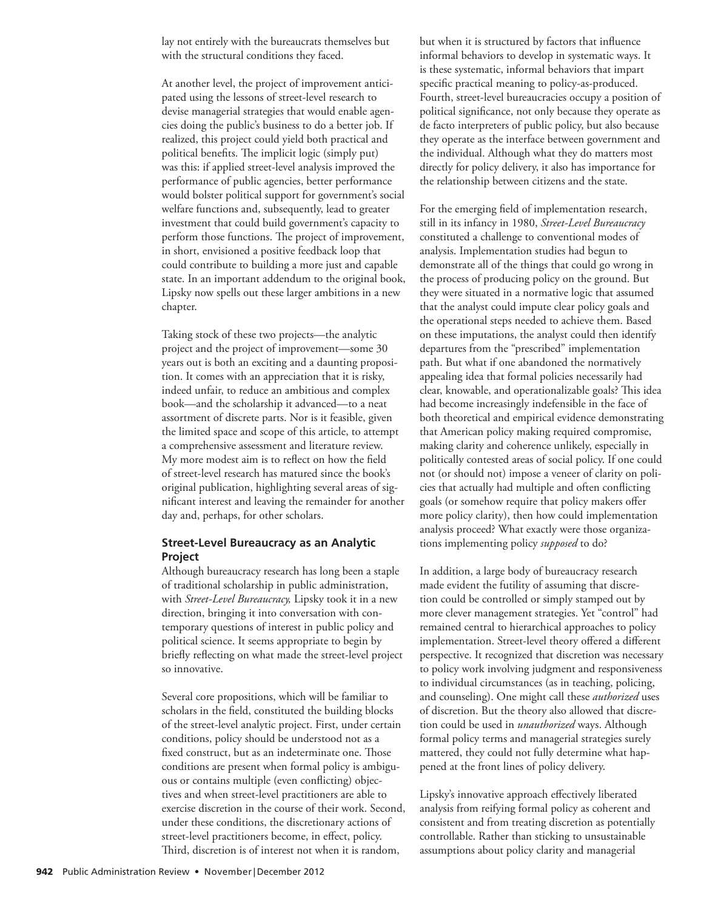lay not entirely with the bureaucrats themselves but with the structural conditions they faced.

At another level, the project of improvement anticipated using the lessons of street-level research to devise managerial strategies that would enable agencies doing the public's business to do a better job. If realized, this project could yield both practical and political benefits. The implicit logic (simply put) was this: if applied street-level analysis improved the performance of public agencies, better performance would bolster political support for government's social welfare functions and, subsequently, lead to greater investment that could build government's capacity to perform those functions. The project of improvement, in short, envisioned a positive feedback loop that could contribute to building a more just and capable state. In an important addendum to the original book, Lipsky now spells out these larger ambitions in a new chapter.

Taking stock of these two projects—the analytic project and the project of improvement—some 30 years out is both an exciting and a daunting proposition. It comes with an appreciation that it is risky, indeed unfair, to reduce an ambitious and complex book—and the scholarship it advanced—to a neat assortment of discrete parts. Nor is it feasible, given the limited space and scope of this article, to attempt a comprehensive assessment and literature review. My more modest aim is to reflect on how the field of street-level research has matured since the book's original publication, highlighting several areas of significant interest and leaving the remainder for another day and, perhaps, for other scholars.

## **Street-Level Bureaucracy as an Analytic Project**

Although bureaucracy research has long been a staple of traditional scholarship in public administration, with *Street-Level Bureaucracy,* Lipsky took it in a new direction, bringing it into conversation with contemporary questions of interest in public policy and political science. It seems appropriate to begin by briefly reflecting on what made the street-level project so innovative.

Several core propositions, which will be familiar to scholars in the field, constituted the building blocks of the street-level analytic project. First, under certain conditions, policy should be understood not as a fixed construct, but as an indeterminate one. Those conditions are present when formal policy is ambiguous or contains multiple (even conflicting) objectives and when street-level practitioners are able to exercise discretion in the course of their work. Second, under these conditions, the discretionary actions of street-level practitioners become, in effect, policy. Third, discretion is of interest not when it is random,

but when it is structured by factors that influence informal behaviors to develop in systematic ways. It is these systematic, informal behaviors that impart specific practical meaning to policy-as-produced. Fourth, street-level bureaucracies occupy a position of political significance, not only because they operate as de facto interpreters of public policy, but also because they operate as the interface between government and the individual. Although what they do matters most directly for policy delivery, it also has importance for the relationship between citizens and the state.

For the emerging field of implementation research, still in its infancy in 1980, *Street-Level Bureaucracy* constituted a challenge to conventional modes of analysis. Implementation studies had begun to demonstrate all of the things that could go wrong in the process of producing policy on the ground. But they were situated in a normative logic that assumed that the analyst could impute clear policy goals and the operational steps needed to achieve them. Based on these imputations, the analyst could then identify departures from the "prescribed" implementation path. But what if one abandoned the normatively appealing idea that formal policies necessarily had clear, knowable, and operationalizable goals? This idea had become increasingly indefensible in the face of both theoretical and empirical evidence demonstrating that American policy making required compromise, making clarity and coherence unlikely, especially in politically contested areas of social policy. If one could not (or should not) impose a veneer of clarity on policies that actually had multiple and often conflicting goals (or somehow require that policy makers offer more policy clarity), then how could implementation analysis proceed? What exactly were those organizations implementing policy *supposed* to do?

In addition, a large body of bureaucracy research made evident the futility of assuming that discretion could be controlled or simply stamped out by more clever management strategies. Yet "control" had remained central to hierarchical approaches to policy implementation. Street-level theory offered a different perspective. It recognized that discretion was necessary to policy work involving judgment and responsiveness to individual circumstances (as in teaching, policing, and counseling). One might call these *authorized* uses of discretion. But the theory also allowed that discretion could be used in *unauthorized* ways. Although formal policy terms and managerial strategies surely mattered, they could not fully determine what happened at the front lines of policy delivery.

Lipsky's innovative approach effectively liberated analysis from reifying formal policy as coherent and consistent and from treating discretion as potentially controllable. Rather than sticking to unsustainable assumptions about policy clarity and managerial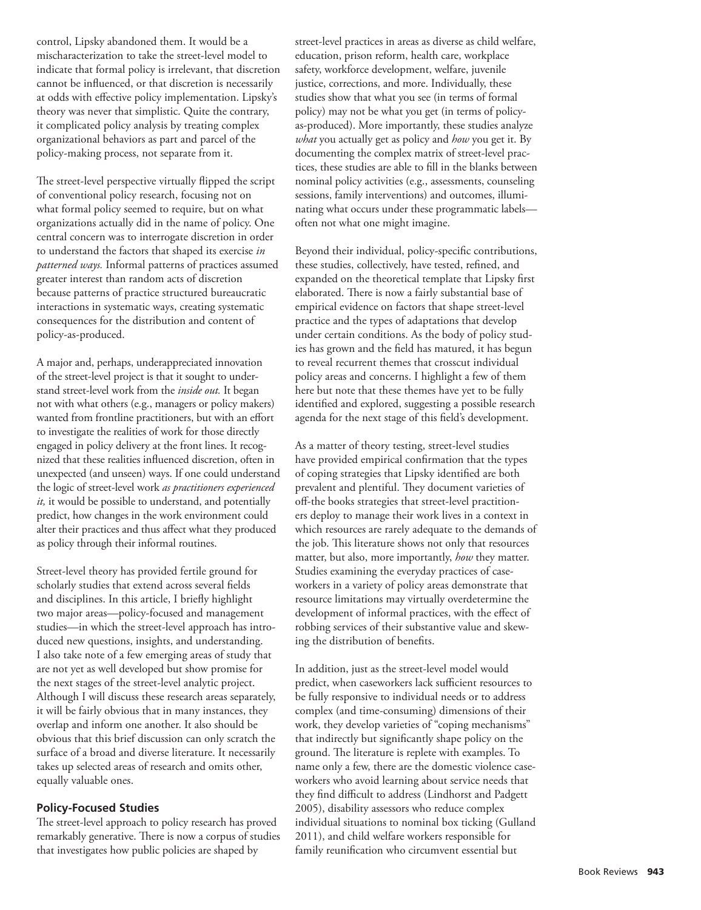control, Lipsky abandoned them. It would be a mischaracterization to take the street-level model to indicate that formal policy is irrelevant, that discretion cannot be influenced, or that discretion is necessarily at odds with effective policy implementation. Lipsky's theory was never that simplistic. Quite the contrary, it complicated policy analysis by treating complex organizational behaviors as part and parcel of the policy-making process, not separate from it.

The street-level perspective virtually flipped the script of conventional policy research, focusing not on what formal policy seemed to require, but on what organizations actually did in the name of policy. One central concern was to interrogate discretion in order to understand the factors that shaped its exercise *in patterned ways.* Informal patterns of practices assumed greater interest than random acts of discretion because patterns of practice structured bureaucratic interactions in systematic ways, creating systematic consequences for the distribution and content of policy-as-produced.

A major and, perhaps, underappreciated innovation of the street-level project is that it sought to understand street-level work from the *inside out.* It began not with what others (e.g., managers or policy makers) wanted from frontline practitioners, but with an effort to investigate the realities of work for those directly engaged in policy delivery at the front lines. It recognized that these realities influenced discretion, often in unexpected (and unseen) ways. If one could understand the logic of street-level work *as practitioners experienced it,* it would be possible to understand, and potentially predict, how changes in the work environment could alter their practices and thus affect what they produced as policy through their informal routines.

Street-level theory has provided fertile ground for scholarly studies that extend across several fields and disciplines. In this article, I briefly highlight two major areas—policy-focused and management studies—in which the street-level approach has introduced new questions, insights, and understanding. I also take note of a few emerging areas of study that are not yet as well developed but show promise for the next stages of the street-level analytic project. Although I will discuss these research areas separately, it will be fairly obvious that in many instances, they overlap and inform one another. It also should be obvious that this brief discussion can only scratch the surface of a broad and diverse literature. It necessarily takes up selected areas of research and omits other, equally valuable ones.

# **Policy-Focused Studies**

The street-level approach to policy research has proved remarkably generative. There is now a corpus of studies that investigates how public policies are shaped by

street-level practices in areas as diverse as child welfare, education, prison reform, health care, workplace safety, workforce development, welfare, juvenile justice, corrections, and more. Individually, these studies show that what you see (in terms of formal policy) may not be what you get (in terms of policyas-produced). More importantly, these studies analyze *what* you actually get as policy and *how* you get it. By documenting the complex matrix of street-level practices, these studies are able to fill in the blanks between nominal policy activities (e.g., assessments, counseling sessions, family interventions) and outcomes, illuminating what occurs under these programmatic labels often not what one might imagine.

Beyond their individual, policy-specific contributions, these studies, collectively, have tested, refined, and expanded on the theoretical template that Lipsky first elaborated. There is now a fairly substantial base of empirical evidence on factors that shape street-level practice and the types of adaptations that develop under certain conditions. As the body of policy studies has grown and the field has matured, it has begun to reveal recurrent themes that crosscut individual policy areas and concerns. I highlight a few of them here but note that these themes have yet to be fully identified and explored, suggesting a possible research agenda for the next stage of this field's development.

As a matter of theory testing, street-level studies have provided empirical confirmation that the types of coping strategies that Lipsky identified are both prevalent and plentiful. They document varieties of off -the books strategies that street-level practitioners deploy to manage their work lives in a context in which resources are rarely adequate to the demands of the job. This literature shows not only that resources matter, but also, more importantly, *how* they matter. Studies examining the everyday practices of caseworkers in a variety of policy areas demonstrate that resource limitations may virtually overdetermine the development of informal practices, with the effect of robbing services of their substantive value and skewing the distribution of benefits.

In addition, just as the street-level model would predict, when caseworkers lack sufficient resources to be fully responsive to individual needs or to address complex (and time-consuming) dimensions of their work, they develop varieties of "coping mechanisms" that indirectly but significantly shape policy on the ground. The literature is replete with examples. To name only a few, there are the domestic violence caseworkers who avoid learning about service needs that they find difficult to address (Lindhorst and Padgett 2005), disability assessors who reduce complex individual situations to nominal box ticking (Gulland 2011), and child welfare workers responsible for family reunification who circumvent essential but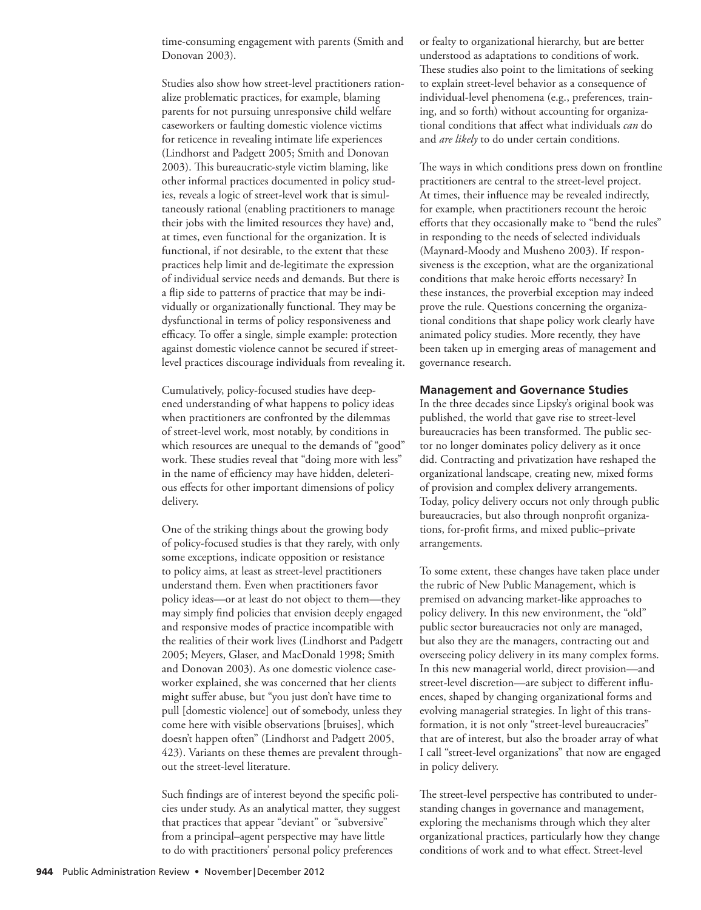time-consuming engagement with parents (Smith and Donovan 2003).

Studies also show how street-level practitioners rationalize problematic practices, for example, blaming parents for not pursuing unresponsive child welfare caseworkers or faulting domestic violence victims for reticence in revealing intimate life experiences (Lindhorst and Padgett 2005; Smith and Donovan 2003). This bureaucratic-style victim blaming, like other informal practices documented in policy studies, reveals a logic of street-level work that is simultaneously rational (enabling practitioners to manage their jobs with the limited resources they have) and, at times, even functional for the organization. It is functional, if not desirable, to the extent that these practices help limit and de-legitimate the expression of individual service needs and demands. But there is a flip side to patterns of practice that may be individually or organizationally functional. They may be dysfunctional in terms of policy responsiveness and efficacy. To offer a single, simple example: protection against domestic violence cannot be secured if streetlevel practices discourage individuals from revealing it.

Cumulatively, policy-focused studies have deepened understanding of what happens to policy ideas when practitioners are confronted by the dilemmas of street-level work, most notably, by conditions in which resources are unequal to the demands of "good" work. These studies reveal that "doing more with less" in the name of efficiency may have hidden, deleterious effects for other important dimensions of policy delivery.

One of the striking things about the growing body of policy-focused studies is that they rarely, with only some exceptions, indicate opposition or resistance to policy aims, at least as street-level practitioners understand them. Even when practitioners favor policy ideas—or at least do not object to them—they may simply find policies that envision deeply engaged and responsive modes of practice incompatible with the realities of their work lives (Lindhorst and Padgett 2005; Meyers, Glaser, and MacDonald 1998; Smith and Donovan 2003). As one domestic violence caseworker explained, she was concerned that her clients might suffer abuse, but "you just don't have time to pull [domestic violence] out of somebody, unless they come here with visible observations [bruises], which doesn't happen often" (Lindhorst and Padgett 2005, 423). Variants on these themes are prevalent throughout the street-level literature.

Such findings are of interest beyond the specific policies under study. As an analytical matter, they suggest that practices that appear "deviant" or "subversive" from a principal–agent perspective may have little to do with practitioners' personal policy preferences

or fealty to organizational hierarchy, but are better understood as adaptations to conditions of work. These studies also point to the limitations of seeking to explain street-level behavior as a consequence of individual-level phenomena (e.g., preferences, training, and so forth) without accounting for organizational conditions that affect what individuals *can* do and *are likely* to do under certain conditions.

The ways in which conditions press down on frontline practitioners are central to the street-level project. At times, their influence may be revealed indirectly, for example, when practitioners recount the heroic efforts that they occasionally make to "bend the rules" in responding to the needs of selected individuals (Maynard-Moody and Musheno 2003). If responsiveness is the exception, what are the organizational conditions that make heroic efforts necessary? In these instances, the proverbial exception may indeed prove the rule. Questions concerning the organizational conditions that shape policy work clearly have animated policy studies. More recently, they have been taken up in emerging areas of management and governance research.

#### **Management and Governance Studies**

In the three decades since Lipsky's original book was published, the world that gave rise to street-level bureaucracies has been transformed. The public sector no longer dominates policy delivery as it once did. Contracting and privatization have reshaped the organizational landscape, creating new, mixed forms of provision and complex delivery arrangements. Today, policy delivery occurs not only through public bureaucracies, but also through nonprofit organizations, for-profit firms, and mixed public-private arrangements.

To some extent, these changes have taken place under the rubric of New Public Management, which is premised on advancing market-like approaches to policy delivery. In this new environment, the "old" public sector bureaucracies not only are managed, but also they are the managers, contracting out and overseeing policy delivery in its many complex forms. In this new managerial world, direct provision—and street-level discretion—are subject to different influences, shaped by changing organizational forms and evolving managerial strategies. In light of this transformation, it is not only "street-level bureaucracies" that are of interest, but also the broader array of what I call "street-level organizations" that now are engaged in policy delivery.

The street-level perspective has contributed to understanding changes in governance and management, exploring the mechanisms through which they alter organizational practices, particularly how they change conditions of work and to what effect. Street-level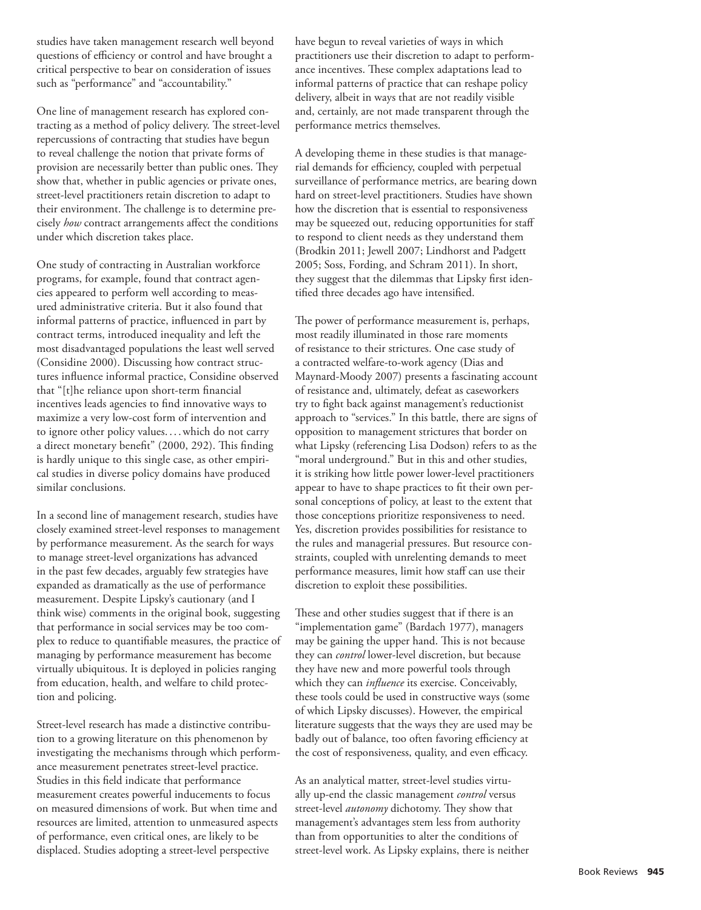studies have taken management research well beyond questions of efficiency or control and have brought a critical perspective to bear on consideration of issues such as "performance" and "accountability."

One line of management research has explored contracting as a method of policy delivery. The street-level repercussions of contracting that studies have begun to reveal challenge the notion that private forms of provision are necessarily better than public ones. They show that, whether in public agencies or private ones, street-level practitioners retain discretion to adapt to their environment. The challenge is to determine precisely *how* contract arrangements affect the conditions under which discretion takes place.

One study of contracting in Australian workforce programs, for example, found that contract agencies appeared to perform well according to measured administrative criteria. But it also found that informal patterns of practice, influenced in part by contract terms, introduced inequality and left the most disadvantaged populations the least well served (Considine 2000). Discussing how contract structures influence informal practice, Considine observed that "[t]he reliance upon short-term financial incentives leads agencies to find innovative ways to maximize a very low-cost form of intervention and to ignore other policy values. . . . which do not carry a direct monetary benefit" (2000, 292). This finding is hardly unique to this single case, as other empirical studies in diverse policy domains have produced similar conclusions.

In a second line of management research, studies have closely examined street-level responses to management by performance measurement. As the search for ways to manage street-level organizations has advanced in the past few decades, arguably few strategies have expanded as dramatically as the use of performance measurement. Despite Lipsky's cautionary (and I think wise) comments in the original book, suggesting that performance in social services may be too complex to reduce to quantifiable measures, the practice of managing by performance measurement has become virtually ubiquitous. It is deployed in policies ranging from education, health, and welfare to child protection and policing.

Street-level research has made a distinctive contribution to a growing literature on this phenomenon by investigating the mechanisms through which performance measurement penetrates street-level practice. Studies in this field indicate that performance measurement creates powerful inducements to focus on measured dimensions of work. But when time and resources are limited, attention to unmeasured aspects of performance, even critical ones, are likely to be displaced. Studies adopting a street-level perspective

have begun to reveal varieties of ways in which practitioners use their discretion to adapt to performance incentives. These complex adaptations lead to informal patterns of practice that can reshape policy delivery, albeit in ways that are not readily visible and, certainly, are not made transparent through the performance metrics themselves.

A developing theme in these studies is that managerial demands for efficiency, coupled with perpetual surveillance of performance metrics, are bearing down hard on street-level practitioners. Studies have shown how the discretion that is essential to responsiveness may be squeezed out, reducing opportunities for staff to respond to client needs as they understand them (Brodkin 2011; Jewell 2007; Lindhorst and Padgett 2005; Soss, Fording, and Schram 2011). In short, they suggest that the dilemmas that Lipsky first identified three decades ago have intensified.

The power of performance measurement is, perhaps, most readily illuminated in those rare moments of resistance to their strictures. One case study of a contracted welfare-to-work agency (Dias and Maynard-Moody 2007) presents a fascinating account of resistance and, ultimately, defeat as caseworkers try to fight back against management's reductionist approach to "services." In this battle, there are signs of opposition to management strictures that border on what Lipsky (referencing Lisa Dodson) refers to as the "moral underground." But in this and other studies, it is striking how little power lower-level practitioners appear to have to shape practices to fit their own personal conceptions of policy, at least to the extent that those conceptions prioritize responsiveness to need. Yes, discretion provides possibilities for resistance to the rules and managerial pressures. But resource constraints, coupled with unrelenting demands to meet performance measures, limit how staff can use their discretion to exploit these possibilities.

These and other studies suggest that if there is an "implementation game" (Bardach 1977), managers may be gaining the upper hand. This is not because they can *control* lower-level discretion, but because they have new and more powerful tools through which they can *influence* its exercise. Conceivably, these tools could be used in constructive ways (some of which Lipsky discusses). However, the empirical literature suggests that the ways they are used may be badly out of balance, too often favoring efficiency at the cost of responsiveness, quality, and even efficacy.

As an analytical matter, street-level studies virtually up-end the classic management *control* versus street-level *autonomy* dichotomy. They show that management's advantages stem less from authority than from opportunities to alter the conditions of street-level work. As Lipsky explains, there is neither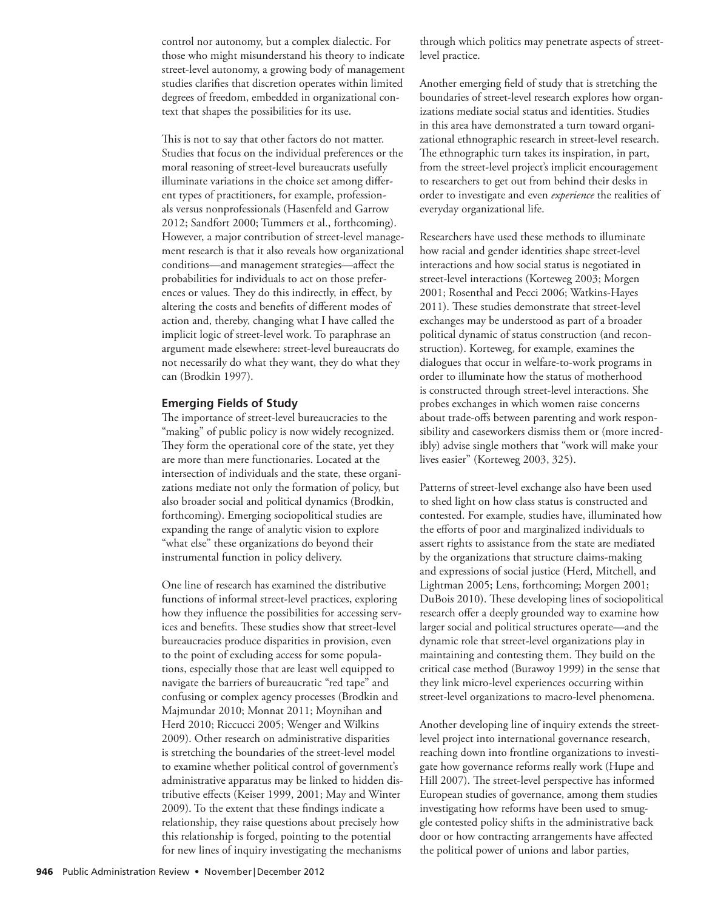control nor autonomy, but a complex dialectic. For those who might misunderstand his theory to indicate street-level autonomy, a growing body of management studies clarifies that discretion operates within limited degrees of freedom, embedded in organizational context that shapes the possibilities for its use.

This is not to say that other factors do not matter. Studies that focus on the individual preferences or the moral reasoning of street-level bureaucrats usefully illuminate variations in the choice set among different types of practitioners, for example, professionals versus nonprofessionals (Hasenfeld and Garrow 2012; Sandfort 2000; Tummers et al., forthcoming). However, a major contribution of street-level management research is that it also reveals how organizational conditions—and management strategies—affect the probabilities for individuals to act on those preferences or values. They do this indirectly, in effect, by altering the costs and benefits of different modes of action and, thereby, changing what I have called the implicit logic of street-level work. To paraphrase an argument made elsewhere: street-level bureaucrats do not necessarily do what they want, they do what they can (Brodkin 1997).

### **Emerging Fields of Study**

The importance of street-level bureaucracies to the "making" of public policy is now widely recognized. They form the operational core of the state, yet they are more than mere functionaries. Located at the intersection of individuals and the state, these organizations mediate not only the formation of policy, but also broader social and political dynamics (Brodkin, forthcoming). Emerging sociopolitical studies are expanding the range of analytic vision to explore "what else" these organizations do beyond their instrumental function in policy delivery.

One line of research has examined the distributive functions of informal street-level practices, exploring how they influence the possibilities for accessing services and benefits. These studies show that street-level bureaucracies produce disparities in provision, even to the point of excluding access for some populations, especially those that are least well equipped to navigate the barriers of bureaucratic "red tape" and confusing or complex agency processes (Brodkin and Majmundar 2010; Monnat 2011; Moynihan and Herd 2010; Riccucci 2005; Wenger and Wilkins 2009). Other research on administrative disparities is stretching the boundaries of the street-level model to examine whether political control of government's administrative apparatus may be linked to hidden distributive effects (Keiser 1999, 2001; May and Winter 2009). To the extent that these findings indicate a relationship, they raise questions about precisely how this relationship is forged, pointing to the potential for new lines of inquiry investigating the mechanisms

through which politics may penetrate aspects of streetlevel practice.

Another emerging field of study that is stretching the boundaries of street-level research explores how organizations mediate social status and identities. Studies in this area have demonstrated a turn toward organizational ethnographic research in street-level research. The ethnographic turn takes its inspiration, in part, from the street-level project's implicit encouragement to researchers to get out from behind their desks in order to investigate and even *experience* the realities of everyday organizational life.

Researchers have used these methods to illuminate how racial and gender identities shape street-level interactions and how social status is negotiated in street-level interactions (Korteweg 2003; Morgen 2001; Rosenthal and Pecci 2006; Watkins-Hayes 2011). These studies demonstrate that street-level exchanges may be understood as part of a broader political dynamic of status construction (and reconstruction). Korteweg, for example, examines the dialogues that occur in welfare-to-work programs in order to illuminate how the status of motherhood is constructed through street-level interactions. She probes exchanges in which women raise concerns about trade-offs between parenting and work responsibility and caseworkers dismiss them or (more incredibly) advise single mothers that "work will make your lives easier" (Korteweg 2003, 325).

Patterns of street-level exchange also have been used to shed light on how class status is constructed and contested. For example, studies have, illuminated how the efforts of poor and marginalized individuals to assert rights to assistance from the state are mediated by the organizations that structure claims-making and expressions of social justice (Herd, Mitchell, and Lightman 2005; Lens, forthcoming; Morgen 2001; DuBois 2010). These developing lines of sociopolitical research offer a deeply grounded way to examine how larger social and political structures operate—and the dynamic role that street-level organizations play in maintaining and contesting them. They build on the critical case method (Burawoy 1999) in the sense that they link micro-level experiences occurring within street-level organizations to macro-level phenomena.

Another developing line of inquiry extends the streetlevel project into international governance research, reaching down into frontline organizations to investigate how governance reforms really work (Hupe and Hill 2007). The street-level perspective has informed European studies of governance, among them studies investigating how reforms have been used to smuggle contested policy shifts in the administrative back door or how contracting arrangements have affected the political power of unions and labor parties,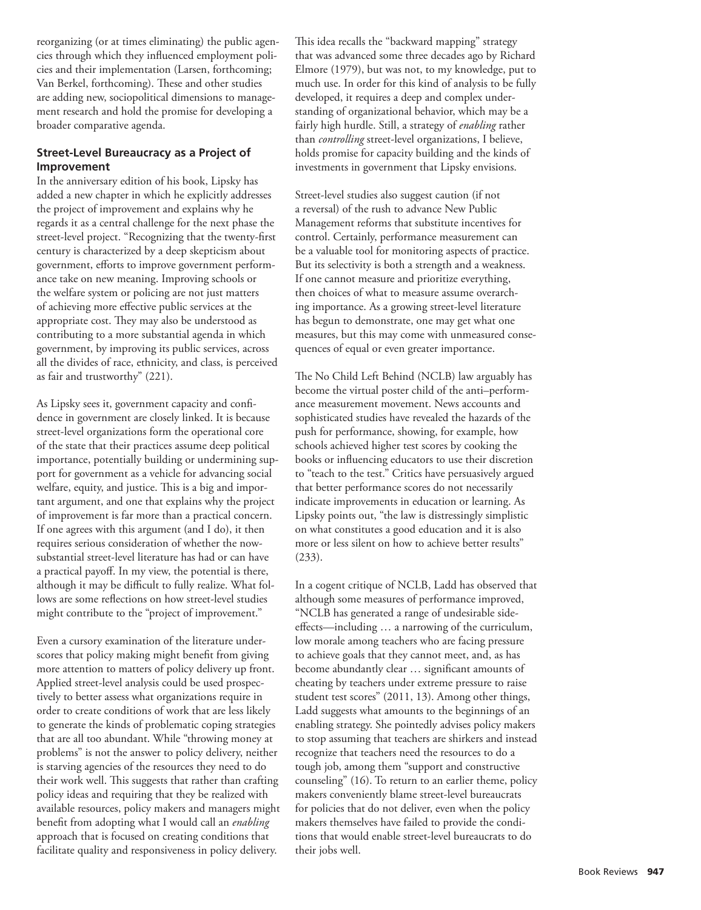reorganizing (or at times eliminating) the public agencies through which they influenced employment policies and their implementation (Larsen, forthcoming; Van Berkel, forthcoming). These and other studies are adding new, sociopolitical dimensions to management research and hold the promise for developing a broader comparative agenda.

# **Street-Level Bureaucracy as a Project of Improvement**

In the anniversary edition of his book, Lipsky has added a new chapter in which he explicitly addresses the project of improvement and explains why he regards it as a central challenge for the next phase the street-level project. "Recognizing that the twenty-first century is characterized by a deep skepticism about government, efforts to improve government performance take on new meaning. Improving schools or the welfare system or policing are not just matters of achieving more effective public services at the appropriate cost. They may also be understood as contributing to a more substantial agenda in which government, by improving its public services, across all the divides of race, ethnicity, and class, is perceived as fair and trustworthy" (221).

As Lipsky sees it, government capacity and confidence in government are closely linked. It is because street-level organizations form the operational core of the state that their practices assume deep political importance, potentially building or undermining support for government as a vehicle for advancing social welfare, equity, and justice. This is a big and important argument, and one that explains why the project of improvement is far more than a practical concern. If one agrees with this argument (and I do), it then requires serious consideration of whether the nowsubstantial street-level literature has had or can have a practical payoff. In my view, the potential is there, although it may be difficult to fully realize. What follows are some reflections on how street-level studies might contribute to the "project of improvement."

Even a cursory examination of the literature underscores that policy making might benefit from giving more attention to matters of policy delivery up front. Applied street-level analysis could be used prospectively to better assess what organizations require in order to create conditions of work that are less likely to generate the kinds of problematic coping strategies that are all too abundant. While "throwing money at problems" is not the answer to policy delivery, neither is starving agencies of the resources they need to do their work well. This suggests that rather than crafting policy ideas and requiring that they be realized with available resources, policy makers and managers might benefit from adopting what I would call an *enabling* approach that is focused on creating conditions that facilitate quality and responsiveness in policy delivery.

This idea recalls the "backward mapping" strategy that was advanced some three decades ago by Richard Elmore (1979), but was not, to my knowledge, put to much use. In order for this kind of analysis to be fully developed, it requires a deep and complex understanding of organizational behavior, which may be a fairly high hurdle. Still, a strategy of *enabling* rather than *controlling* street-level organizations, I believe, holds promise for capacity building and the kinds of investments in government that Lipsky envisions.

Street-level studies also suggest caution (if not a reversal) of the rush to advance New Public Management reforms that substitute incentives for control. Certainly, performance measurement can be a valuable tool for monitoring aspects of practice. But its selectivity is both a strength and a weakness. If one cannot measure and prioritize everything, then choices of what to measure assume overarching importance. As a growing street-level literature has begun to demonstrate, one may get what one measures, but this may come with unmeasured consequences of equal or even greater importance.

The No Child Left Behind (NCLB) law arguably has become the virtual poster child of the anti–performance measurement movement. News accounts and sophisticated studies have revealed the hazards of the push for performance, showing, for example, how schools achieved higher test scores by cooking the books or influencing educators to use their discretion to "teach to the test." Critics have persuasively argued that better performance scores do not necessarily indicate improvements in education or learning. As Lipsky points out, "the law is distressingly simplistic on what constitutes a good education and it is also more or less silent on how to achieve better results" (233).

In a cogent critique of NCLB, Ladd has observed that although some measures of performance improved, "NCLB has generated a range of undesirable sideeffects—including ... a narrowing of the curriculum, low morale among teachers who are facing pressure to achieve goals that they cannot meet, and, as has become abundantly clear ... significant amounts of cheating by teachers under extreme pressure to raise student test scores" (2011, 13). Among other things, Ladd suggests what amounts to the beginnings of an enabling strategy. She pointedly advises policy makers to stop assuming that teachers are shirkers and instead recognize that teachers need the resources to do a tough job, among them "support and constructive counseling" (16). To return to an earlier theme, policy makers conveniently blame street-level bureaucrats for policies that do not deliver, even when the policy makers themselves have failed to provide the conditions that would enable street-level bureaucrats to do their jobs well.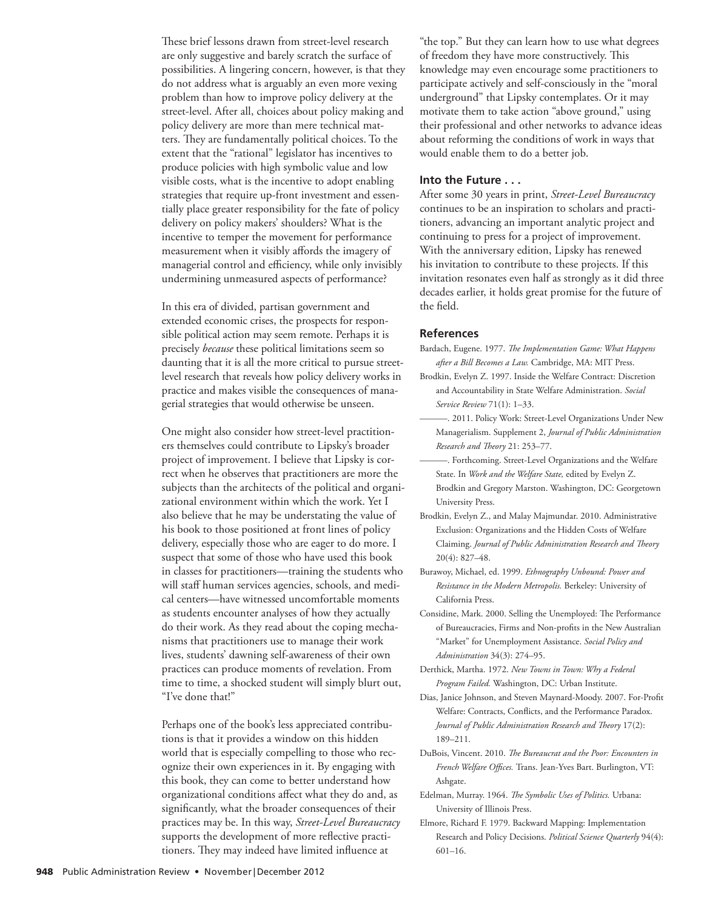These brief lessons drawn from street-level research are only suggestive and barely scratch the surface of possibilities. A lingering concern, however, is that they do not address what is arguably an even more vexing problem than how to improve policy delivery at the street-level. After all, choices about policy making and policy delivery are more than mere technical matters. They are fundamentally political choices. To the extent that the "rational" legislator has incentives to produce policies with high symbolic value and low visible costs, what is the incentive to adopt enabling strategies that require up-front investment and essentially place greater responsibility for the fate of policy delivery on policy makers' shoulders? What is the incentive to temper the movement for performance measurement when it visibly affords the imagery of managerial control and efficiency, while only invisibly undermining unmeasured aspects of performance?

In this era of divided, partisan government and extended economic crises, the prospects for responsible political action may seem remote. Perhaps it is precisely *because* these political limitations seem so daunting that it is all the more critical to pursue streetlevel research that reveals how policy delivery works in practice and makes visible the consequences of managerial strategies that would otherwise be unseen.

One might also consider how street-level practitioners themselves could contribute to Lipsky's broader project of improvement. I believe that Lipsky is correct when he observes that practitioners are more the subjects than the architects of the political and organizational environment within which the work. Yet I also believe that he may be understating the value of his book to those positioned at front lines of policy delivery, especially those who are eager to do more. I suspect that some of those who have used this book in classes for practitioners—training the students who will staff human services agencies, schools, and medical centers—have witnessed uncomfortable moments as students encounter analyses of how they actually do their work. As they read about the coping mechanisms that practitioners use to manage their work lives, students' dawning self-awareness of their own practices can produce moments of revelation. From time to time, a shocked student will simply blurt out, "I've done that!"

Perhaps one of the book's less appreciated contributions is that it provides a window on this hidden world that is especially compelling to those who recognize their own experiences in it. By engaging with this book, they can come to better understand how organizational conditions affect what they do and, as significantly, what the broader consequences of their practices may be. In this way, *Street-Level Bureaucracy* supports the development of more reflective practitioners. They may indeed have limited influence at

"the top." But they can learn how to use what degrees of freedom they have more constructively. This knowledge may even encourage some practitioners to participate actively and self-consciously in the "moral underground" that Lipsky contemplates. Or it may motivate them to take action "above ground," using their professional and other networks to advance ideas about reforming the conditions of work in ways that would enable them to do a better job.

# **Into the Future . . .**

After some 30 years in print, *Street-Level Bureaucracy*  continues to be an inspiration to scholars and practitioners, advancing an important analytic project and continuing to press for a project of improvement. With the anniversary edition, Lipsky has renewed his invitation to contribute to these projects. If this invitation resonates even half as strongly as it did three decades earlier, it holds great promise for the future of the field.

#### **References**

- Bardach, Eugene. 1977. *The Implementation Game: What Happens after a Bill Becomes a Law.* Cambridge, MA: MIT Press.
- Brodkin, Evelyn Z. 1997. Inside the Welfare Contract: Discretion and Accountability in State Welfare Administration. *Social Service Review* 71(1): 1–33.
- -. 2011. Policy Work: Street-Level Organizations Under New Managerialism. Supplement 2, *Journal of Public Administration Research and Th eory* 21: 253–77.
- ———. Forthcoming. Street-Level Organizations and the Welfare State. In *Work and the Welfare State,* edited by Evelyn Z. Brodkin and Gregory Marston. Washington, DC: Georgetown University Press.
- Brodkin, Evelyn Z., and Malay Majmundar. 2010. Administrative Exclusion: Organizations and the Hidden Costs of Welfare Claiming. *Journal of Public Administration Research and Theory* 20(4): 827–48.
- Burawoy, Michael, ed. 1999. *Ethnography Unbound: Power and Resistance in the Modern Metropolis.* Berkeley: University of California Press.
- Considine, Mark. 2000. Selling the Unemployed: The Performance of Bureaucracies, Firms and Non-profits in the New Australian "Market" for Unemployment Assistance. *Social Policy and Administration* 34(3): 274–95.
- Derthick, Martha. 1972. *New Towns in Town: Why a Federal Program Failed.* Washington, DC: Urban Institute.
- Dias, Janice Johnson, and Steven Maynard-Moody. 2007. For-Profit Welfare: Contracts, Conflicts, and the Performance Paradox. *Journal of Public Administration Research and Theory 17(2)*: 189–211.
- DuBois, Vincent. 2010. *The Bureaucrat and the Poor: Encounters in French Welfare Offices*. Trans. Jean-Yves Bart. Burlington, VT: Ashgate.
- Edelman, Murray. 1964. *The Symbolic Uses of Politics*. Urbana: University of Illinois Press.
- Elmore, Richard F. 1979. Backward Mapping: Implementation Research and Policy Decisions. *Political Science Quarterly* 94(4): 601–16.